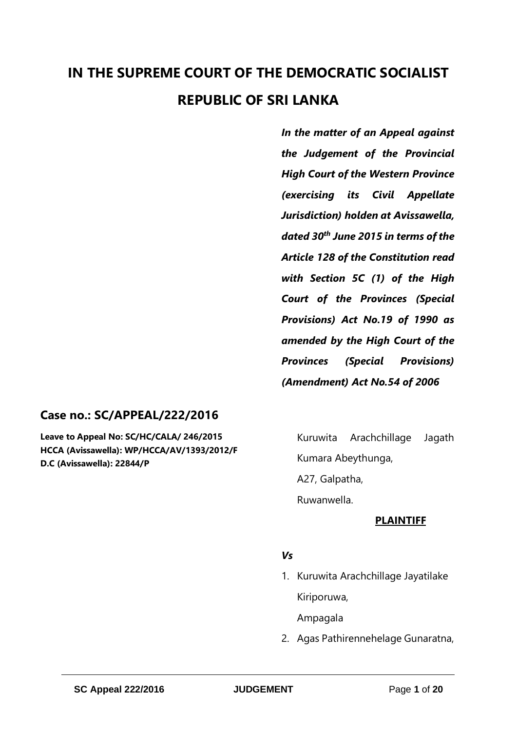# **IN THE SUPREME COURT OF THE DEMOCRATIC SOCIALIST REPUBLIC OF SRI LANKA**

*In the matter of an Appeal against the Judgement of the Provincial High Court of the Western Province (exercising its Civil Appellate Jurisdiction) holden at Avissawella, dated 30th June 2015 in terms of the Article 128 of the Constitution read with Section 5C (1) of the High Court of the Provinces (Special Provisions) Act No.19 of 1990 as amended by the High Court of the Provinces (Special Provisions) (Amendment) Act No.54 of 2006*

# **Case no.: SC/APPEAL/222/2016**

**Leave to Appeal No: SC/HC/CALA/ 246/2015 HCCA (Avissawella): WP/HCCA/AV/1393/2012/F D.C (Avissawella): 22844/P**

Kuruwita Arachchillage Jagath Kumara Abeythunga, A27, Galpatha, Ruwanwella.

# **PLAINTIFF**

#### *Vs*

1. Kuruwita Arachchillage Jayatilake Kiriporuwa,

Ampagala

2. Agas Pathirennehelage Gunaratna,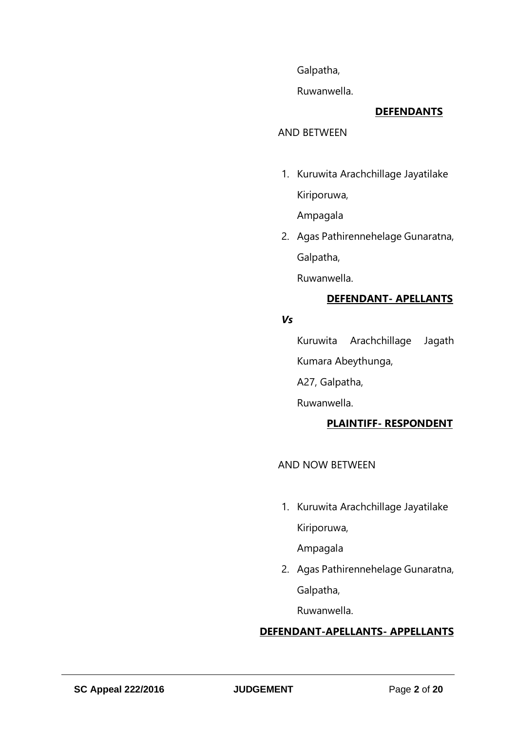Galpatha,

Ruwanwella.

# **DEFENDANTS**

#### AND BETWEEN

1. Kuruwita Arachchillage Jayatilake Kiriporuwa,

Ampagala

2. Agas Pathirennehelage Gunaratna, Galpatha,

Ruwanwella.

# **DEFENDANT- APELLANTS**

#### *Vs*

Kuruwita Arachchillage Jagath Kumara Abeythunga,

A27, Galpatha,

Ruwanwella.

# **PLAINTIFF- RESPONDENT**

AND NOW BETWEEN

1. Kuruwita Arachchillage Jayatilake Kiriporuwa,

Ampagala

2. Agas Pathirennehelage Gunaratna, Galpatha,

Ruwanwella.

# **DEFENDANT-APELLANTS- APPELLANTS**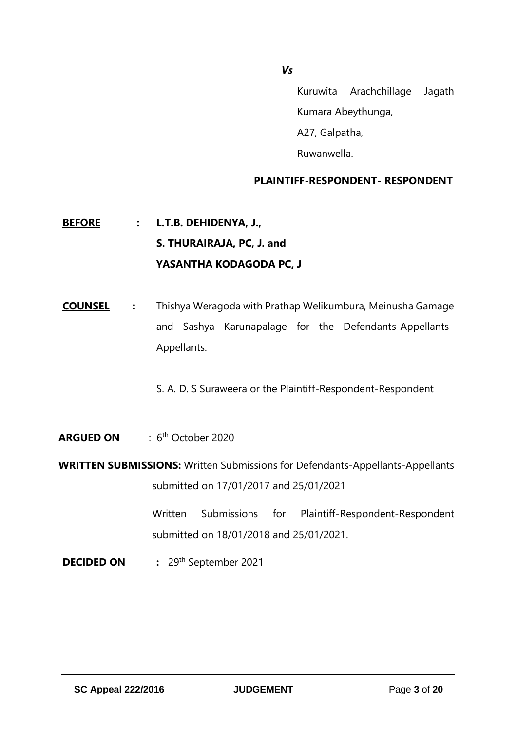*Vs*

Kuruwita Arachchillage Jagath Kumara Abeythunga, A27, Galpatha, Ruwanwella.

# **PLAINTIFF-RESPONDENT- RESPONDENT**

# **BEFORE : L.T.B. DEHIDENYA, J., S. THURAIRAJA, PC, J. and YASANTHA KODAGODA PC, J**

- **COUNSEL :** Thishya Weragoda with Prathap Welikumbura, Meinusha Gamage and Sashya Karunapalage for the Defendants-Appellants– Appellants.
	- S. A. D. S Suraweera or the Plaintiff-Respondent-Respondent
- **ARGUED ON** : 6 th October 2020
- **WRITTEN SUBMISSIONS:** Written Submissions for Defendants-Appellants-Appellants submitted on 17/01/2017 and 25/01/2021

Written Submissions for Plaintiff-Respondent-Respondent submitted on 18/01/2018 and 25/01/2021.

**DECIDED ON** : 29<sup>th</sup> September 2021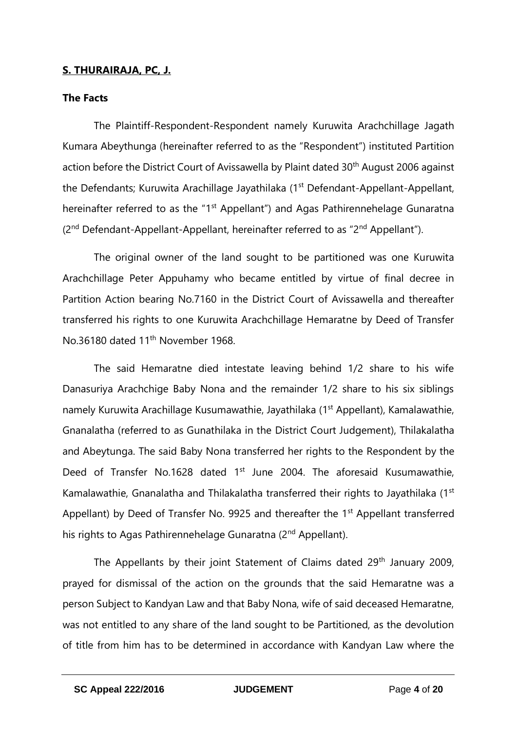# **S. THURAIRAJA, PC, J.**

### **The Facts**

The Plaintiff-Respondent-Respondent namely Kuruwita Arachchillage Jagath Kumara Abeythunga (hereinafter referred to as the "Respondent") instituted Partition action before the District Court of Avissawella by Plaint dated 30<sup>th</sup> August 2006 against the Defendants; Kuruwita Arachillage Jayathilaka (1<sup>st</sup> Defendant-Appellant-Appellant, hereinafter referred to as the "1<sup>st</sup> Appellant") and Agas Pathirennehelage Gunaratna (2<sup>nd</sup> Defendant-Appellant-Appellant, hereinafter referred to as "2<sup>nd</sup> Appellant").

The original owner of the land sought to be partitioned was one Kuruwita Arachchillage Peter Appuhamy who became entitled by virtue of final decree in Partition Action bearing No.7160 in the District Court of Avissawella and thereafter transferred his rights to one Kuruwita Arachchillage Hemaratne by Deed of Transfer No.36180 dated 11<sup>th</sup> November 1968.

The said Hemaratne died intestate leaving behind 1/2 share to his wife Danasuriya Arachchige Baby Nona and the remainder 1/2 share to his six siblings namely Kuruwita Arachillage Kusumawathie, Jayathilaka (1<sup>st</sup> Appellant), Kamalawathie, Gnanalatha (referred to as Gunathilaka in the District Court Judgement), Thilakalatha and Abeytunga. The said Baby Nona transferred her rights to the Respondent by the Deed of Transfer No.1628 dated 1<sup>st</sup> June 2004. The aforesaid Kusumawathie, Kamalawathie, Gnanalatha and Thilakalatha transferred their rights to Jayathilaka (1<sup>st</sup> Appellant) by Deed of Transfer No. 9925 and thereafter the 1<sup>st</sup> Appellant transferred his rights to Agas Pathirennehelage Gunaratna (2<sup>nd</sup> Appellant).

The Appellants by their joint Statement of Claims dated 29<sup>th</sup> January 2009, prayed for dismissal of the action on the grounds that the said Hemaratne was a person Subject to Kandyan Law and that Baby Nona, wife of said deceased Hemaratne, was not entitled to any share of the land sought to be Partitioned, as the devolution of title from him has to be determined in accordance with Kandyan Law where the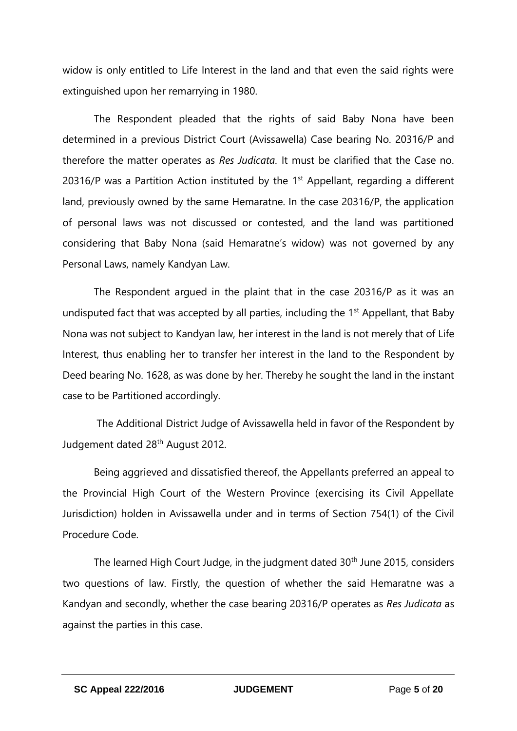widow is only entitled to Life Interest in the land and that even the said rights were extinguished upon her remarrying in 1980.

The Respondent pleaded that the rights of said Baby Nona have been determined in a previous District Court (Avissawella) Case bearing No. 20316/P and therefore the matter operates as *Res Judicata.* It must be clarified that the Case no. 20316/P was a Partition Action instituted by the  $1<sup>st</sup>$  Appellant, regarding a different land, previously owned by the same Hemaratne. In the case 20316/P, the application of personal laws was not discussed or contested, and the land was partitioned considering that Baby Nona (said Hemaratne's widow) was not governed by any Personal Laws, namely Kandyan Law.

The Respondent argued in the plaint that in the case 20316/P as it was an undisputed fact that was accepted by all parties, including the 1<sup>st</sup> Appellant, that Baby Nona was not subject to Kandyan law, her interest in the land is not merely that of Life Interest, thus enabling her to transfer her interest in the land to the Respondent by Deed bearing No. 1628, as was done by her. Thereby he sought the land in the instant case to be Partitioned accordingly.

The Additional District Judge of Avissawella held in favor of the Respondent by Judgement dated 28th August 2012.

Being aggrieved and dissatisfied thereof, the Appellants preferred an appeal to the Provincial High Court of the Western Province (exercising its Civil Appellate Jurisdiction) holden in Avissawella under and in terms of Section 754(1) of the Civil Procedure Code.

The learned High Court Judge, in the judgment dated 30<sup>th</sup> June 2015, considers two questions of law. Firstly, the question of whether the said Hemaratne was a Kandyan and secondly, whether the case bearing 20316/P operates as *Res Judicata* as against the parties in this case.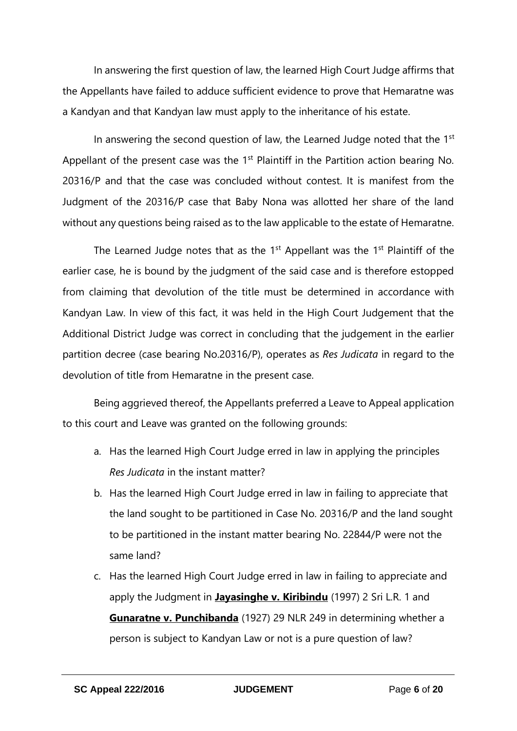In answering the first question of law, the learned High Court Judge affirms that the Appellants have failed to adduce sufficient evidence to prove that Hemaratne was a Kandyan and that Kandyan law must apply to the inheritance of his estate.

In answering the second question of law, the Learned Judge noted that the 1<sup>st</sup> Appellant of the present case was the  $1<sup>st</sup>$  Plaintiff in the Partition action bearing No. 20316/P and that the case was concluded without contest. It is manifest from the Judgment of the 20316/P case that Baby Nona was allotted her share of the land without any questions being raised as to the law applicable to the estate of Hemaratne.

The Learned Judge notes that as the  $1<sup>st</sup>$  Appellant was the  $1<sup>st</sup>$  Plaintiff of the earlier case, he is bound by the judgment of the said case and is therefore estopped from claiming that devolution of the title must be determined in accordance with Kandyan Law. In view of this fact, it was held in the High Court Judgement that the Additional District Judge was correct in concluding that the judgement in the earlier partition decree (case bearing No.20316/P), operates as *Res Judicata* in regard to the devolution of title from Hemaratne in the present case.

Being aggrieved thereof, the Appellants preferred a Leave to Appeal application to this court and Leave was granted on the following grounds:

- a. Has the learned High Court Judge erred in law in applying the principles *Res Judicata* in the instant matter?
- b. Has the learned High Court Judge erred in law in failing to appreciate that the land sought to be partitioned in Case No. 20316/P and the land sought to be partitioned in the instant matter bearing No. 22844/P were not the same land?
- c. Has the learned High Court Judge erred in law in failing to appreciate and apply the Judgment in **Jayasinghe v. Kiribindu** (1997) 2 Sri L.R. 1 and **Gunaratne v. Punchibanda** (1927) 29 NLR 249 in determining whether a person is subject to Kandyan Law or not is a pure question of law?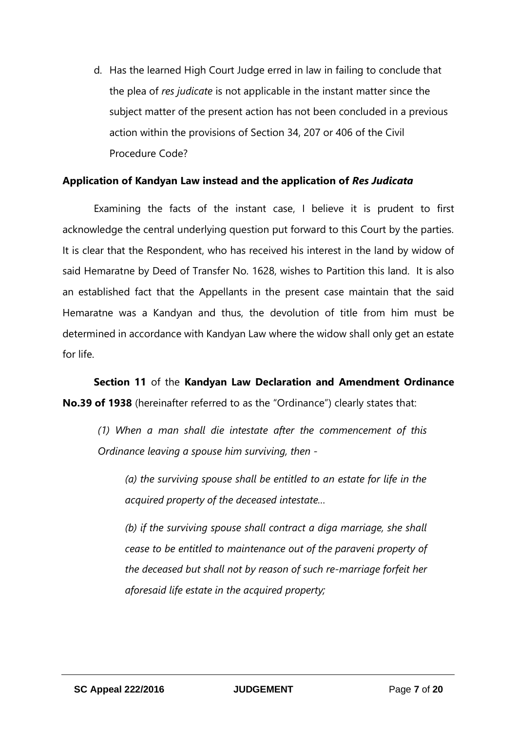d. Has the learned High Court Judge erred in law in failing to conclude that the plea of *res judicate* is not applicable in the instant matter since the subject matter of the present action has not been concluded in a previous action within the provisions of Section 34, 207 or 406 of the Civil Procedure Code?

#### **Application of Kandyan Law instead and the application of** *Res Judicata*

Examining the facts of the instant case, I believe it is prudent to first acknowledge the central underlying question put forward to this Court by the parties. It is clear that the Respondent, who has received his interest in the land by widow of said Hemaratne by Deed of Transfer No. 1628, wishes to Partition this land. It is also an established fact that the Appellants in the present case maintain that the said Hemaratne was a Kandyan and thus, the devolution of title from him must be determined in accordance with Kandyan Law where the widow shall only get an estate for life.

**Section 11** of the **Kandyan Law Declaration and Amendment Ordinance No.39 of 1938** (hereinafter referred to as the "Ordinance") clearly states that:

*(1) When a man shall die intestate after the commencement of this Ordinance leaving a spouse him surviving, then -*

*(a) the surviving spouse shall be entitled to an estate for life in the acquired property of the deceased intestate…*

*(b) if the surviving spouse shall contract a diga marriage, she shall cease to be entitled to maintenance out of the paraveni property of the deceased but shall not by reason of such re-marriage forfeit her aforesaid life estate in the acquired property;*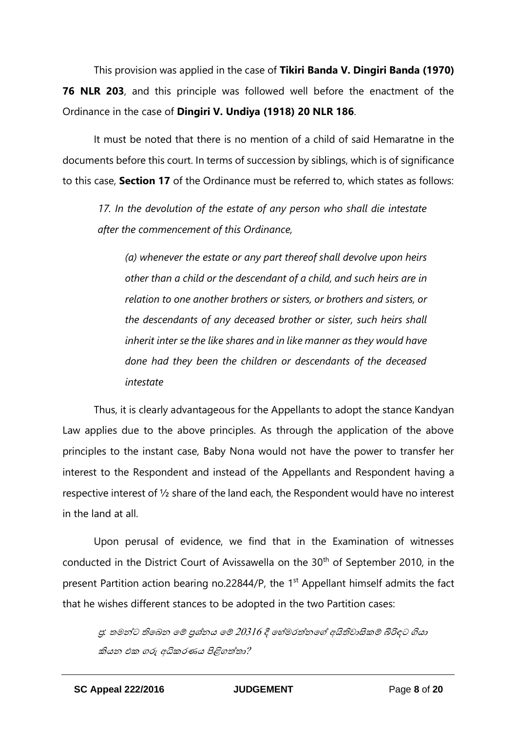This provision was applied in the case of **Tikiri Banda V. Dingiri Banda (1970) 76 NLR 203**, and this principle was followed well before the enactment of the Ordinance in the case of **Dingiri V. Undiya (1918) 20 NLR 186**.

It must be noted that there is no mention of a child of said Hemaratne in the documents before this court. In terms of succession by siblings, which is of significance to this case, **Section 17** of the Ordinance must be referred to, which states as follows:

*17. In the devolution of the estate of any person who shall die intestate after the commencement of this Ordinance,*

*(a) whenever the estate or any part thereof shall devolve upon heirs other than a child or the descendant of a child, and such heirs are in relation to one another brothers or sisters, or brothers and sisters, or the descendants of any deceased brother or sister, such heirs shall inherit inter se the like shares and in like manner as they would have done had they been the children or descendants of the deceased intestate*

Thus, it is clearly advantageous for the Appellants to adopt the stance Kandyan Law applies due to the above principles. As through the application of the above principles to the instant case, Baby Nona would not have the power to transfer her interest to the Respondent and instead of the Appellants and Respondent having a respective interest of ½ share of the land each, the Respondent would have no interest in the land at all.

Upon perusal of evidence, we find that in the Examination of witnesses conducted in the District Court of Avissawella on the 30<sup>th</sup> of September 2010, in the present Partition action bearing no.22844/P, the 1<sup>st</sup> Appellant himself admits the fact that he wishes different stances to be adopted in the two Partition cases:

ප්ර*:* තමන්ට තිබෙන බේ ප්රශ්නය බේ <sup>20316</sup>දී බ ්මරත්නබේ අයිතිවාසිකේ බිරිඳට ගියා කියන එක ගරු අධිකරණය පිළිගත්තා?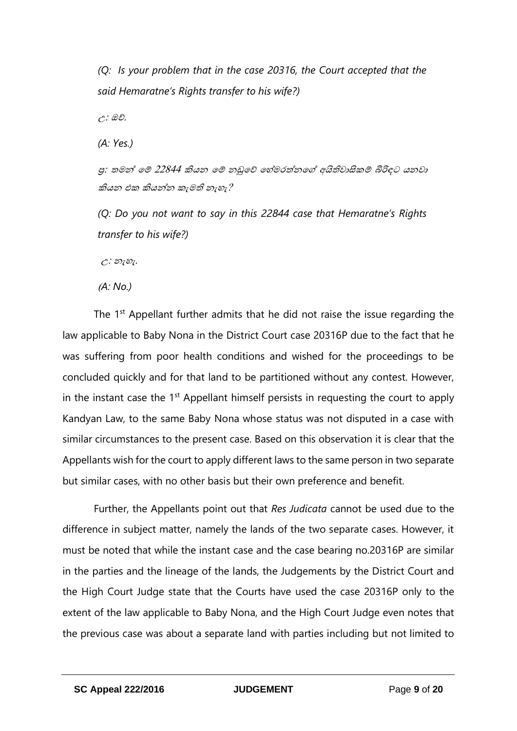*(Q: Is your problem that in the case 20316, the Court accepted that the said Hemaratne's Rights transfer to his wife?)*

උ: ඔව්.

*(A: Yes.)*

පු: තමන් මේ 22844 කියන මේ නඩුවේ හේමරත්නගේ අයිතිවාසිකම් බිරිඳට යනවා කියන එක කියන්න කැමති නැහැ?

*(Q: Do you not want to say in this 22844 case that Hemaratne's Rights transfer to his wife?)* 

 $C: 20787.$ 

(*A: No.)* 

The 1<sup>st</sup> Appellant further admits that he did not raise the issue regarding the law applicable to Baby Nona in the District Court case 20316P due to the fact that he was suffering from poor health conditions and wished for the proceedings to be concluded quickly and for that land to be partitioned without any contest. However, in the instant case the  $1<sup>st</sup>$  Appellant himself persists in requesting the court to apply Kandyan Law, to the same Baby Nona whose status was not disputed in a case with similar circumstances to the present case. Based on this observation it is clear that the Appellants wish for the court to apply different laws to the same person in two separate but similar cases, with no other basis but their own preference and benefit.

Further, the Appellants point out that *Res Judicata* cannot be used due to the difference in subject matter, namely the lands of the two separate cases. However, it must be noted that while the instant case and the case bearing no.20316P are similar in the parties and the lineage of the lands, the Judgements by the District Court and the High Court Judge state that the Courts have used the case 20316P only to the extent of the law applicable to Baby Nona, and the High Court Judge even notes that the previous case was about a separate land with parties including but not limited to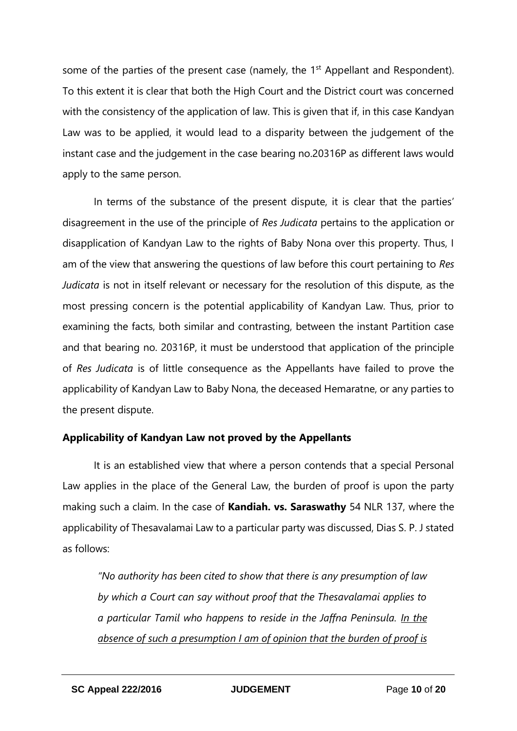some of the parties of the present case (namely, the 1<sup>st</sup> Appellant and Respondent). To this extent it is clear that both the High Court and the District court was concerned with the consistency of the application of law. This is given that if, in this case Kandyan Law was to be applied, it would lead to a disparity between the judgement of the instant case and the judgement in the case bearing no.20316P as different laws would apply to the same person.

In terms of the substance of the present dispute, it is clear that the parties' disagreement in the use of the principle of *Res Judicata* pertains to the application or disapplication of Kandyan Law to the rights of Baby Nona over this property. Thus, I am of the view that answering the questions of law before this court pertaining to *Res Judicata* is not in itself relevant or necessary for the resolution of this dispute, as the most pressing concern is the potential applicability of Kandyan Law. Thus, prior to examining the facts, both similar and contrasting, between the instant Partition case and that bearing no. 20316P, it must be understood that application of the principle of *Res Judicata* is of little consequence as the Appellants have failed to prove the applicability of Kandyan Law to Baby Nona, the deceased Hemaratne, or any parties to the present dispute.

# **Applicability of Kandyan Law not proved by the Appellants**

It is an established view that where a person contends that a special Personal Law applies in the place of the General Law, the burden of proof is upon the party making such a claim. In the case of **Kandiah. vs. Saraswathy** 54 NLR 137, where the applicability of Thesavalamai Law to a particular party was discussed, Dias S. P. J stated as follows:

*"No authority has been cited to show that there is any presumption of law by which a Court can say without proof that the Thesavalamai applies to a particular Tamil who happens to reside in the Jaffna Peninsula. In the absence of such a presumption I am of opinion that the burden of proof is*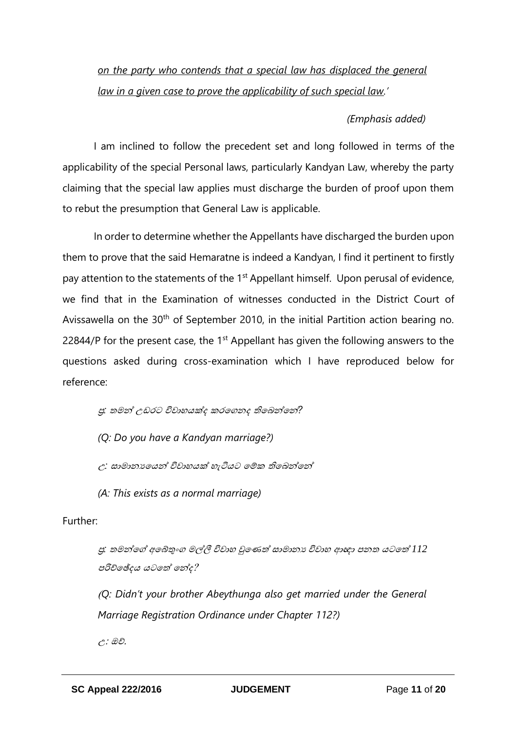# *on the party who contends that a special law has displaced the general law in a given case to prove the applicability of such special law.'*

# *(Emphasis added)*

I am inclined to follow the precedent set and long followed in terms of the applicability of the special Personal laws, particularly Kandyan Law, whereby the party claiming that the special law applies must discharge the burden of proof upon them to rebut the presumption that General Law is applicable.

In order to determine whether the Appellants have discharged the burden upon them to prove that the said Hemaratne is indeed a Kandyan, I find it pertinent to firstly pay attention to the statements of the 1<sup>st</sup> Appellant himself. Upon perusal of evidence, we find that in the Examination of witnesses conducted in the District Court of Avissawella on the 30<sup>th</sup> of September 2010, in the initial Partition action bearing no. 22844/P for the present case, the  $1<sup>st</sup>$  Appellant has given the following answers to the questions asked during cross-examination which I have reproduced below for reference:

ප්ර*:* තමන් උඩරට විවා යක්ද කරබගනද තිබෙන්බන්*?*

*(Q: Do you have a Kandyan marriage?)*

<sup>උ</sup>*:* සාමානයබයන් විවා යක් ැටියට බේක තිබෙන්බන්

*(A: This exists as a normal marriage)*

#### Further:

පු: තමන්ගේ අබේතුංග මල්ලී විවාහ වුණෙත් සාමානා විවාහ ආඥා පනත යටතේ **1**12 පරිච්බේදය යටබත් බන්ද?

(*Q: Didn't your brother Abeythunga also get married under the General Marriage Registration Ordinance under Chapter 112?)* 

උ: ඔව්.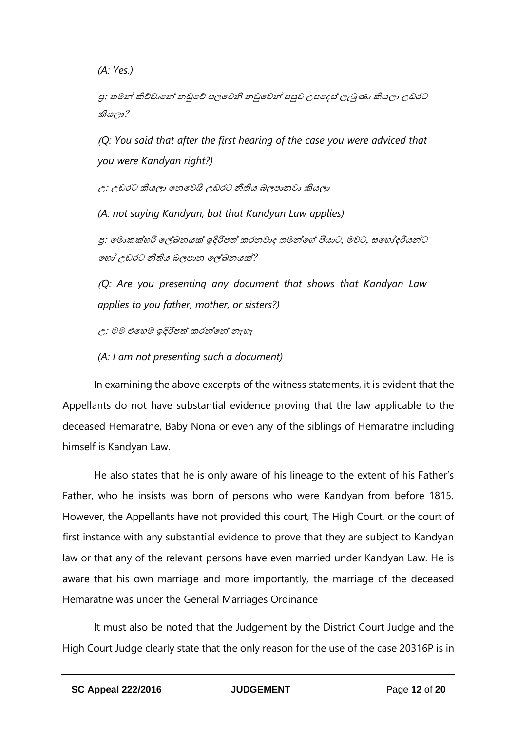*(A: Yes.)*

ප්ර: තමන් කිව්වාබන් නඩුබව් පලබවනි නඩුබවන් පසුව උපබදස්ලැබුණා කියලා උඩරට කියලා?

(*Q: You said that after the first hearing of the case you were adviced that you were Kandyan right?)*

උ: උඩරට කියලා බනබවයි උඩරට නීතිය ෙලපානවා කියලා

*(A: not saying Kandyan, but that Kandyan Law applies)*

පු: මොකක්හරි ලේඛනයක් ඉදිරිපත් කරනවාද තමන්ගේ පියාට, මවට, සහෝදරියන්ට බ ෝ උඩරට නීතිය ෙලපාන බල්ලඛනයක්?

(*Q: Are you presenting any document that shows that Kandyan Law applies to you father, mother, or sisters?)*

<sup>උ</sup>: මම එබ ම ඉදිරිපත් කරන්බන් නැ ැ

*(A: I am not presenting such a document)*

In examining the above excerpts of the witness statements, it is evident that the Appellants do not have substantial evidence proving that the law applicable to the deceased Hemaratne, Baby Nona or even any of the siblings of Hemaratne including himself is Kandyan Law.

He also states that he is only aware of his lineage to the extent of his Father's Father, who he insists was born of persons who were Kandyan from before 1815. However, the Appellants have not provided this court, The High Court, or the court of first instance with any substantial evidence to prove that they are subject to Kandyan law or that any of the relevant persons have even married under Kandyan Law. He is aware that his own marriage and more importantly, the marriage of the deceased Hemaratne was under the General Marriages Ordinance

It must also be noted that the Judgement by the District Court Judge and the High Court Judge clearly state that the only reason for the use of the case 20316P is in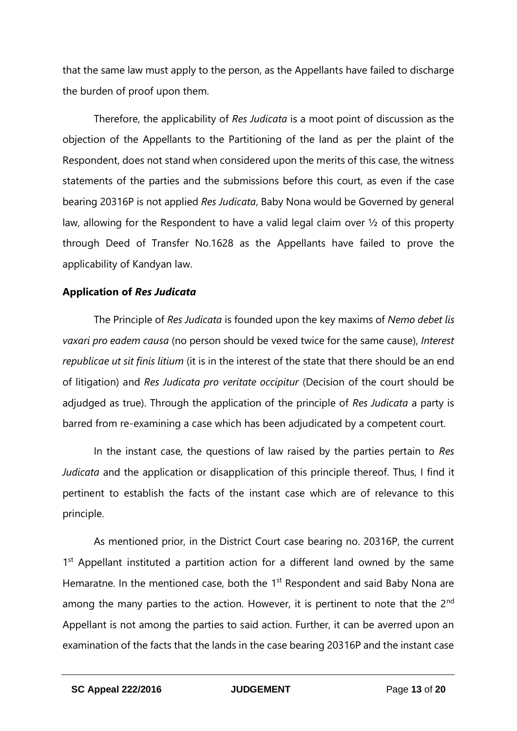that the same law must apply to the person, as the Appellants have failed to discharge the burden of proof upon them.

Therefore, the applicability of *Res Judicata* is a moot point of discussion as the objection of the Appellants to the Partitioning of the land as per the plaint of the Respondent, does not stand when considered upon the merits of this case, the witness statements of the parties and the submissions before this court, as even if the case bearing 20316P is not applied *Res Judicata*, Baby Nona would be Governed by general law, allowing for the Respondent to have a valid legal claim over ½ of this property through Deed of Transfer No.1628 as the Appellants have failed to prove the applicability of Kandyan law.

#### **Application of** *Res Judicata*

The Principle of *Res Judicata* is founded upon the key maxims of *Nemo debet lis vaxari pro eadem causa* (no person should be vexed twice for the same cause), *Interest republicae ut sit finis litium* (it is in the interest of the state that there should be an end of litigation) and *Res Judicata pro veritate occipitur* (Decision of the court should be adjudged as true). Through the application of the principle of *Res Judicata* a party is barred from re-examining a case which has been adjudicated by a competent court.

In the instant case, the questions of law raised by the parties pertain to *Res Judicata* and the application or disapplication of this principle thereof. Thus, I find it pertinent to establish the facts of the instant case which are of relevance to this principle.

As mentioned prior, in the District Court case bearing no. 20316P, the current 1<sup>st</sup> Appellant instituted a partition action for a different land owned by the same Hemaratne. In the mentioned case, both the 1<sup>st</sup> Respondent and said Baby Nona are among the many parties to the action. However, it is pertinent to note that the  $2<sup>nd</sup>$ Appellant is not among the parties to said action. Further, it can be averred upon an examination of the facts that the lands in the case bearing 20316P and the instant case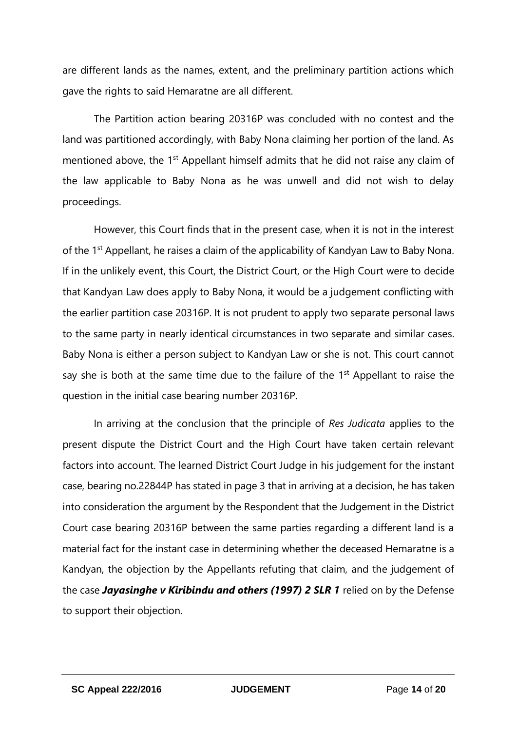are different lands as the names, extent, and the preliminary partition actions which gave the rights to said Hemaratne are all different.

The Partition action bearing 20316P was concluded with no contest and the land was partitioned accordingly, with Baby Nona claiming her portion of the land. As mentioned above, the 1<sup>st</sup> Appellant himself admits that he did not raise any claim of the law applicable to Baby Nona as he was unwell and did not wish to delay proceedings.

However, this Court finds that in the present case, when it is not in the interest of the 1<sup>st</sup> Appellant, he raises a claim of the applicability of Kandyan Law to Baby Nona. If in the unlikely event, this Court, the District Court, or the High Court were to decide that Kandyan Law does apply to Baby Nona, it would be a judgement conflicting with the earlier partition case 20316P. It is not prudent to apply two separate personal laws to the same party in nearly identical circumstances in two separate and similar cases. Baby Nona is either a person subject to Kandyan Law or she is not. This court cannot say she is both at the same time due to the failure of the  $1<sup>st</sup>$  Appellant to raise the question in the initial case bearing number 20316P.

In arriving at the conclusion that the principle of *Res Judicata* applies to the present dispute the District Court and the High Court have taken certain relevant factors into account. The learned District Court Judge in his judgement for the instant case, bearing no.22844P has stated in page 3 that in arriving at a decision, he has taken into consideration the argument by the Respondent that the Judgement in the District Court case bearing 20316P between the same parties regarding a different land is a material fact for the instant case in determining whether the deceased Hemaratne is a Kandyan, the objection by the Appellants refuting that claim, and the judgement of the case *Jayasinghe v Kiribindu and others (1997) 2 SLR 1* relied on by the Defense to support their objection.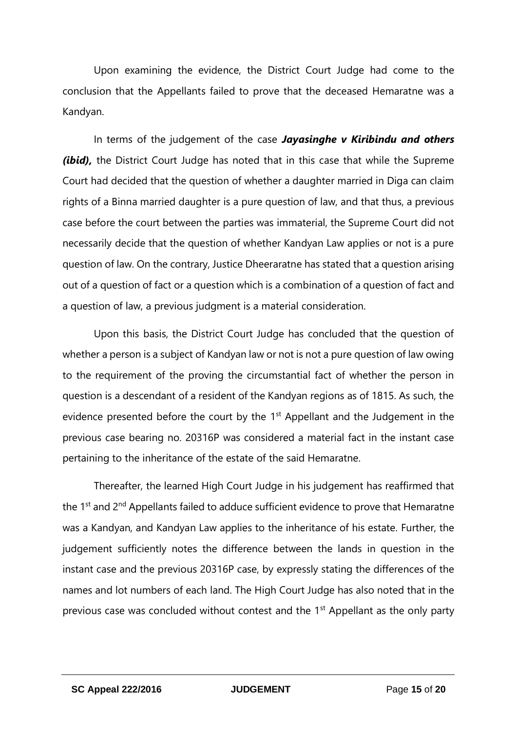Upon examining the evidence, the District Court Judge had come to the conclusion that the Appellants failed to prove that the deceased Hemaratne was a Kandyan.

In terms of the judgement of the case *Jayasinghe v Kiribindu and others (ibid),* the District Court Judge has noted that in this case that while the Supreme Court had decided that the question of whether a daughter married in Diga can claim rights of a Binna married daughter is a pure question of law, and that thus, a previous case before the court between the parties was immaterial, the Supreme Court did not necessarily decide that the question of whether Kandyan Law applies or not is a pure question of law. On the contrary, Justice Dheeraratne has stated that a question arising out of a question of fact or a question which is a combination of a question of fact and a question of law, a previous judgment is a material consideration.

Upon this basis, the District Court Judge has concluded that the question of whether a person is a subject of Kandyan law or not is not a pure question of law owing to the requirement of the proving the circumstantial fact of whether the person in question is a descendant of a resident of the Kandyan regions as of 1815. As such, the evidence presented before the court by the 1<sup>st</sup> Appellant and the Judgement in the previous case bearing no. 20316P was considered a material fact in the instant case pertaining to the inheritance of the estate of the said Hemaratne.

Thereafter, the learned High Court Judge in his judgement has reaffirmed that the 1<sup>st</sup> and 2<sup>nd</sup> Appellants failed to adduce sufficient evidence to prove that Hemaratne was a Kandyan, and Kandyan Law applies to the inheritance of his estate. Further, the judgement sufficiently notes the difference between the lands in question in the instant case and the previous 20316P case, by expressly stating the differences of the names and lot numbers of each land. The High Court Judge has also noted that in the previous case was concluded without contest and the 1<sup>st</sup> Appellant as the only party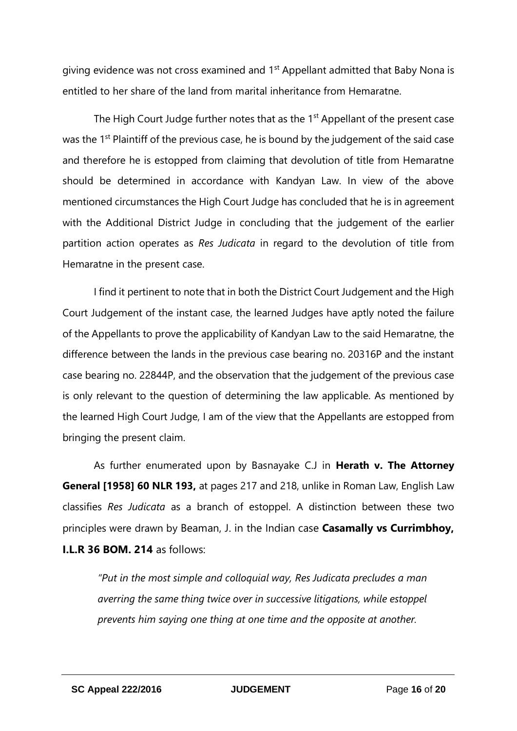giving evidence was not cross examined and 1st Appellant admitted that Baby Nona is entitled to her share of the land from marital inheritance from Hemaratne.

The High Court Judge further notes that as the 1<sup>st</sup> Appellant of the present case was the 1<sup>st</sup> Plaintiff of the previous case, he is bound by the judgement of the said case and therefore he is estopped from claiming that devolution of title from Hemaratne should be determined in accordance with Kandyan Law. In view of the above mentioned circumstances the High Court Judge has concluded that he is in agreement with the Additional District Judge in concluding that the judgement of the earlier partition action operates as *Res Judicata* in regard to the devolution of title from Hemaratne in the present case.

I find it pertinent to note that in both the District Court Judgement and the High Court Judgement of the instant case, the learned Judges have aptly noted the failure of the Appellants to prove the applicability of Kandyan Law to the said Hemaratne, the difference between the lands in the previous case bearing no. 20316P and the instant case bearing no. 22844P, and the observation that the judgement of the previous case is only relevant to the question of determining the law applicable. As mentioned by the learned High Court Judge, I am of the view that the Appellants are estopped from bringing the present claim.

As further enumerated upon by Basnayake C.J in **Herath v. The Attorney General [1958] 60 NLR 193,** at pages 217 and 218, unlike in Roman Law, English Law classifies *Res Judicata* as a branch of estoppel. A distinction between these two principles were drawn by Beaman, J. in the Indian case **Casamally vs Currimbhoy, I.L.R 36 BOM. 214** as follows:

*"Put in the most simple and colloquial way, Res Judicata precludes a man averring the same thing twice over in successive litigations, while estoppel prevents him saying one thing at one time and the opposite at another.*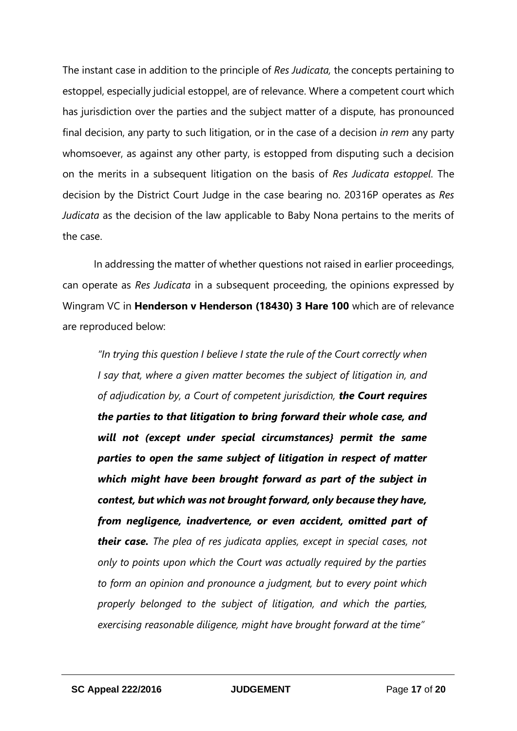The instant case in addition to the principle of *Res Judicata,* the concepts pertaining to estoppel, especially judicial estoppel, are of relevance. Where a competent court which has jurisdiction over the parties and the subject matter of a dispute, has pronounced final decision, any party to such litigation, or in the case of a decision *in rem* any party whomsoever, as against any other party, is estopped from disputing such a decision on the merits in a subsequent litigation on the basis of *Res Judicata estoppel*. The decision by the District Court Judge in the case bearing no. 20316P operates as *Res Judicata* as the decision of the law applicable to Baby Nona pertains to the merits of the case.

In addressing the matter of whether questions not raised in earlier proceedings, can operate as *Res Judicata* in a subsequent proceeding, the opinions expressed by Wingram VC in **Henderson v Henderson (18430) 3 Hare 100** which are of relevance are reproduced below:

*"In trying this question I believe I state the rule of the Court correctly when I say that, where a given matter becomes the subject of litigation in, and of adjudication by, a Court of competent jurisdiction, the Court requires the parties to that litigation to bring forward their whole case, and will not (except under special circumstances} permit the same parties to open the same subject of litigation in respect of matter which might have been brought forward as part of the subject in contest, but which was not brought forward, only because they have, from negligence, inadvertence, or even accident, omitted part of their case. The plea of res judicata applies, except in special cases, not only to points upon which the Court was actually required by the parties to form an opinion and pronounce a judgment, but to every point which properly belonged to the subject of litigation, and which the parties, exercising reasonable diligence, might have brought forward at the time"*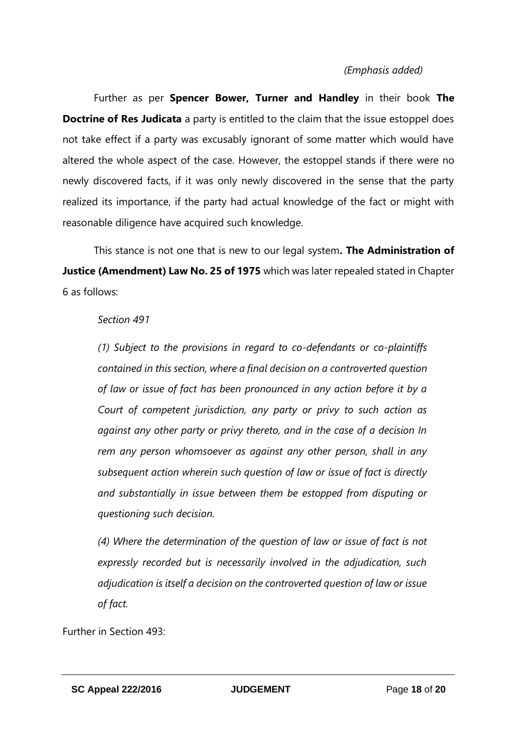### *(Emphasis added)*

Further as per **Spencer Bower, Turner and Handley** in their book **The Doctrine of Res Judicata** a party is entitled to the claim that the issue estoppel does not take effect if a party was excusably ignorant of some matter which would have altered the whole aspect of the case. However, the estoppel stands if there were no newly discovered facts, if it was only newly discovered in the sense that the party realized its importance, if the party had actual knowledge of the fact or might with reasonable diligence have acquired such knowledge.

This stance is not one that is new to our legal system**. The Administration of Justice (Amendment) Law No. 25 of 1975** which was later repealed stated in Chapter 6 as follows:

#### *Section 491*

*(1) Subject to the provisions in regard to co-defendants or co-plaintiffs contained in this section, where a final decision on a controverted question of law or issue of fact has been pronounced in any action before it by a Court of competent jurisdiction, any party or privy to such action as against any other party or privy thereto, and in the case of a decision In rem any person whomsoever as against any other person, shall in any subsequent action wherein such question of law or issue of fact is directly and substantially in issue between them be estopped from disputing or questioning such decision.*

*(4) Where the determination of the question of law or issue of fact is not expressly recorded but is necessarily involved in the adjudication, such adjudication is itself a decision on the controverted question of law or issue of fact.*

Further in Section 493: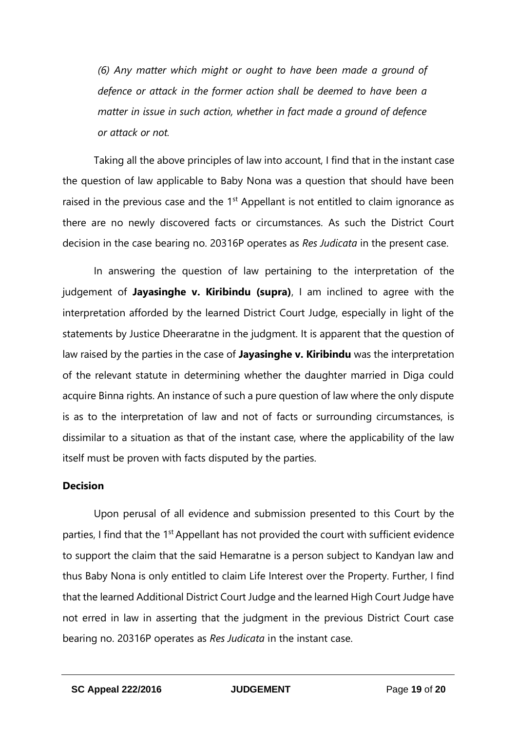*(6) Any matter which might or ought to have been made a ground of defence or attack in the former action shall be deemed to have been a matter in issue in such action, whether in fact made a ground of defence or attack or not.*

Taking all the above principles of law into account, I find that in the instant case the question of law applicable to Baby Nona was a question that should have been raised in the previous case and the 1<sup>st</sup> Appellant is not entitled to claim ignorance as there are no newly discovered facts or circumstances. As such the District Court decision in the case bearing no. 20316P operates as *Res Judicata* in the present case.

In answering the question of law pertaining to the interpretation of the judgement of **Jayasinghe v. Kiribindu (supra)**, I am inclined to agree with the interpretation afforded by the learned District Court Judge, especially in light of the statements by Justice Dheeraratne in the judgment. It is apparent that the question of law raised by the parties in the case of **Jayasinghe v. Kiribindu** was the interpretation of the relevant statute in determining whether the daughter married in Diga could acquire Binna rights. An instance of such a pure question of law where the only dispute is as to the interpretation of law and not of facts or surrounding circumstances, is dissimilar to a situation as that of the instant case, where the applicability of the law itself must be proven with facts disputed by the parties.

#### **Decision**

Upon perusal of all evidence and submission presented to this Court by the parties, I find that the 1<sup>st</sup> Appellant has not provided the court with sufficient evidence to support the claim that the said Hemaratne is a person subject to Kandyan law and thus Baby Nona is only entitled to claim Life Interest over the Property. Further, I find that the learned Additional District Court Judge and the learned High Court Judge have not erred in law in asserting that the judgment in the previous District Court case bearing no. 20316P operates as *Res Judicata* in the instant case.